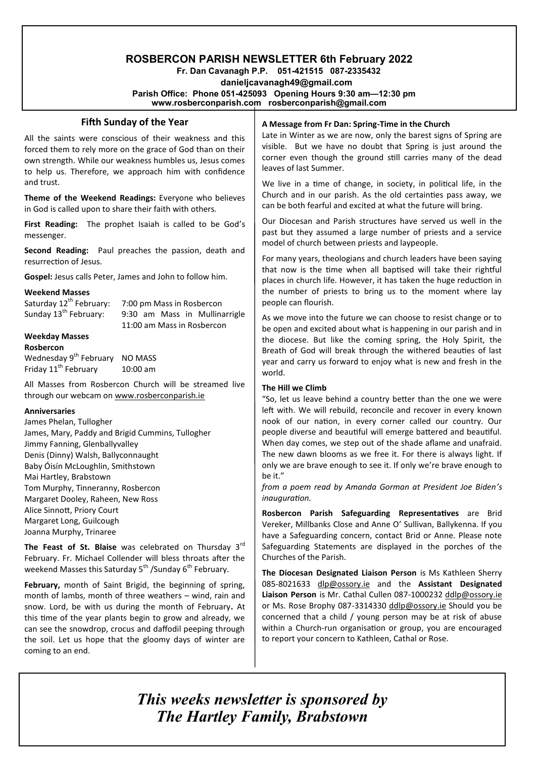# **ROSBERCON PARISH NEWSLETTER 6th February 2022**

 **Fr. Dan Cavanagh P.P. 051-421515 087-2335432 danieljcavanagh49@gmail.com Parish Office: Phone 051-425093****Opening Hours 9:30 am—12:30 pm www.rosberconparish.com rosberconparish@gmail.com**

## **Fifth Sunday of the Year**

All the saints were conscious of their weakness and this forced them to rely more on the grace of God than on their own strength. While our weakness humbles us, Jesus comes to help us. Therefore, we approach him with confidence and trust.

**Theme of the Weekend Readings:** Everyone who believes in God is called upon to share their faith with others.

**First Reading:** The prophet Isaiah is called to be God's messenger.

**Second Reading:** Paul preaches the passion, death and resurrection of Jesus.

**Gospel:** Jesus calls Peter, James and John to follow him.

#### **Weekend Masses**

Saturday  $12^{th}$  February: 7:00 pm Mass in Rosbercon<br>Sunday  $13^{th}$  February: 9:30 am Mass in Mullina 9:30 am Mass in Mullinarrigle 11:00 am Mass in Rosbercon

#### **Weekday Masses Rosbercon**

Wednesday 9<sup>th</sup> February NO MASS Friday  $11^{\text{th}}$  February  $10:00$  am

All Masses from Rosbercon Church will be streamed live through our webcam on [www.rosberconparish.ie](http://www.rosberconparish.ie/)

#### **Anniversaries**

James Phelan, Tullogher James, Mary, Paddy and Brigid Cummins, Tullogher Jimmy Fanning, Glenballyvalley Denis (Dinny) Walsh, Ballyconnaught Baby Óisín McLoughlin, Smithstown Mai Hartley, Brabstown Tom Murphy, Tinneranny, Rosbercon Margaret Dooley, Raheen, New Ross Alice Sinnott, Priory Court Margaret Long, Guilcough Joanna Murphy, Trinaree

**The Feast of St. Blaise** was celebrated on Thursday 3rd February. Fr. Michael Collender will bless throats after the weekend Masses this Saturday  $5<sup>th</sup>$  /Sunday  $6<sup>th</sup>$  February.

**February,** month of Saint Brigid, the beginning of spring, month of lambs, month of three weathers – wind, rain and snow. Lord, be with us during the month of February**.** At this time of the year plants begin to grow and already, we can see the snowdrop, crocus and daffodil peeping through the soil. Let us hope that the gloomy days of winter are coming to an end.

## **A Message from Fr Dan: Spring-Time in the Church**

Late in Winter as we are now, only the barest signs of Spring are visible. But we have no doubt that Spring is just around the corner even though the ground still carries many of the dead leaves of last Summer.

We live in a time of change, in society, in political life, in the Church and in our parish. As the old certainties pass away, we can be both fearful and excited at what the future will bring.

Our Diocesan and Parish structures have served us well in the past but they assumed a large number of priests and a service model of church between priests and laypeople.

For many years, theologians and church leaders have been saying that now is the time when all baptised will take their rightful places in church life. However, it has taken the huge reduction in the number of priests to bring us to the moment where lay people can flourish.

As we move into the future we can choose to resist change or to be open and excited about what is happening in our parish and in the diocese. But like the coming spring, the Holy Spirit, the Breath of God will break through the withered beauties of last year and carry us forward to enjoy what is new and fresh in the world.

#### **The Hill we Climb**

"So, let us leave behind a country better than the one we were left with. We will rebuild, reconcile and recover in every known nook of our nation, in every corner called our country. Our people diverse and beautiful will emerge battered and beautiful. When day comes, we step out of the shade aflame and unafraid. The new dawn blooms as we free it. For there is always light. If only we are brave enough to see it. If only we're brave enough to be it."

*from a poem read by Amanda Gorman at President Joe Biden's inauguration.*

**Rosbercon Parish Safeguarding Representatives** are Brid Vereker, Millbanks Close and Anne O' Sullivan, Ballykenna. If you have a Safeguarding concern, contact Brid or Anne. Please note Safeguarding Statements are displayed in the porches of the Churches of the Parish.

**The Diocesan Designated Liaison Person** is Ms Kathleen Sherry 085-8021633 [dlp@ossory.ie](mailto:dlp@ossory.ie) and the **Assistant Designated Liaison Person** is Mr. Cathal Cullen 087-1000232 [ddlp@ossory.ie](mailto:ddlp@ossory.ie) or Ms. Rose Brophy 087-3314330 [ddlp@ossory.ie](mailto:ddlp@ossory.ie) Should you be concerned that a child / young person may be at risk of abuse within a Church-run organisation or group, you are encouraged to report your concern to Kathleen, Cathal or Rose.

*This weeks newsletter is sponsored by The Hartley Family, Brabstown*